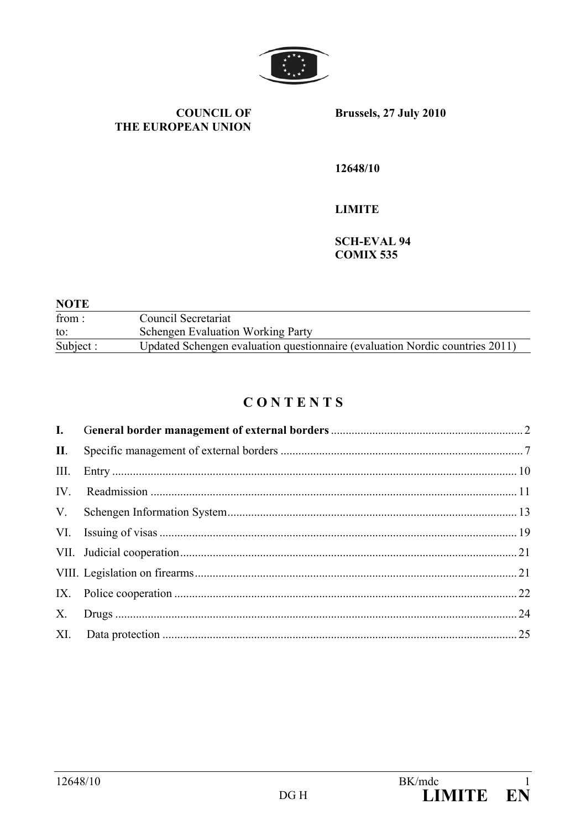

**COUNCIL OF** THE EUROPEAN UNION Brussels, 27 July 2010

12648/10

**LIMITE** 

**SCH-EVAL 94 COMIX 535** 

| <b>NOTE</b> |                                                                              |
|-------------|------------------------------------------------------------------------------|
| from:       | Council Secretariat                                                          |
| to:         | <b>Schengen Evaluation Working Party</b>                                     |
| Subject:    | Updated Schengen evaluation questionnaire (evaluation Nordic countries 2011) |

# CONTENTS

| $\mathbf{I}$ .  |  |
|-----------------|--|
| $\mathbf{II}$ . |  |
| III.            |  |
| IV.             |  |
| $V_{\cdot}$     |  |
|                 |  |
|                 |  |
|                 |  |
| IX.             |  |
| $X_{\cdot}$     |  |
|                 |  |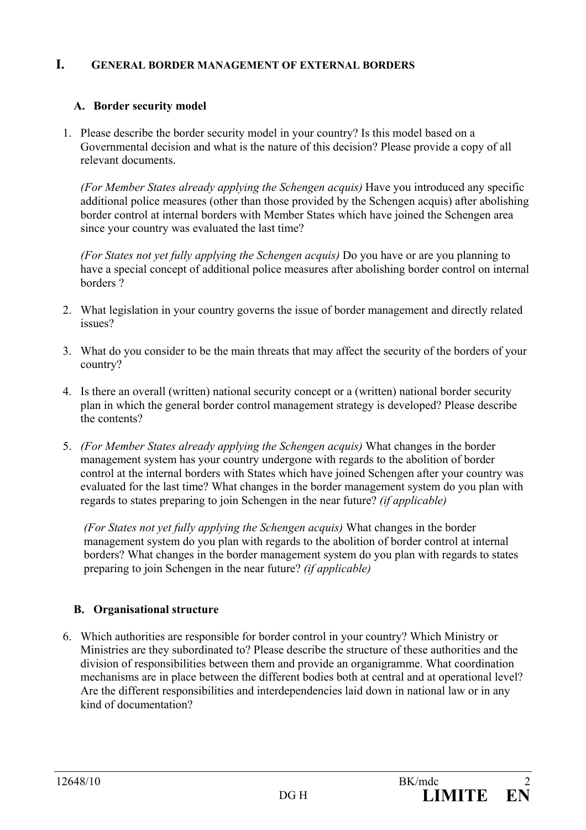## **I. GENERAL BORDER MANAGEMENT OF EXTERNAL BORDERS**

## **A. Border security model**

1. Please describe the border security model in your country? Is this model based on a Governmental decision and what is the nature of this decision? Please provide a copy of all relevant documents.

 *(For Member States already applying the Schengen acquis)* Have you introduced any specific additional police measures (other than those provided by the Schengen acquis) after abolishing border control at internal borders with Member States which have joined the Schengen area since your country was evaluated the last time?

*(For States not yet fully applying the Schengen acquis)* Do you have or are you planning to have a special concept of additional police measures after abolishing border control on internal borders ?

- 2. What legislation in your country governs the issue of border management and directly related issues?
- 3. What do you consider to be the main threats that may affect the security of the borders of your country?
- 4. Is there an overall (written) national security concept or a (written) national border security plan in which the general border control management strategy is developed? Please describe the contents?
- 5. *(For Member States already applying the Schengen acquis)* What changes in the border management system has your country undergone with regards to the abolition of border control at the internal borders with States which have joined Schengen after your country was evaluated for the last time? What changes in the border management system do you plan with regards to states preparing to join Schengen in the near future? *(if applicable)*

*(For States not yet fully applying the Schengen acquis)* What changes in the border management system do you plan with regards to the abolition of border control at internal borders? What changes in the border management system do you plan with regards to states preparing to join Schengen in the near future? *(if applicable)*

## **B. Organisational structure**

6. Which authorities are responsible for border control in your country? Which Ministry or Ministries are they subordinated to? Please describe the structure of these authorities and the division of responsibilities between them and provide an organigramme. What coordination mechanisms are in place between the different bodies both at central and at operational level? Are the different responsibilities and interdependencies laid down in national law or in any kind of documentation?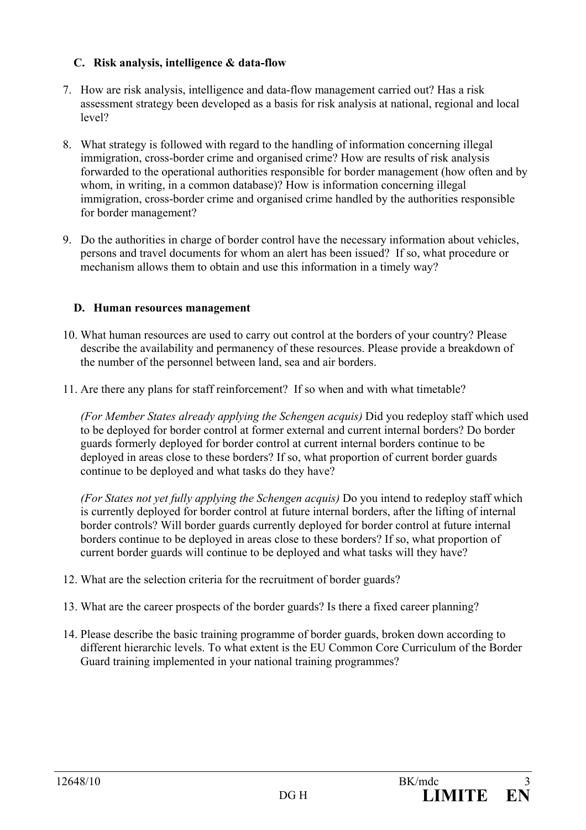## **C. Risk analysis, intelligence & data-flow**

- 7. How are risk analysis, intelligence and data-flow management carried out? Has a risk assessment strategy been developed as a basis for risk analysis at national, regional and local level?
- 8. What strategy is followed with regard to the handling of information concerning illegal immigration, cross-border crime and organised crime? How are results of risk analysis forwarded to the operational authorities responsible for border management (how often and by whom, in writing, in a common database)? How is information concerning illegal immigration, cross-border crime and organised crime handled by the authorities responsible for border management?
- 9. Do the authorities in charge of border control have the necessary information about vehicles, persons and travel documents for whom an alert has been issued? If so, what procedure or mechanism allows them to obtain and use this information in a timely way?

## **D. Human resources management**

- 10. What human resources are used to carry out control at the borders of your country? Please describe the availability and permanency of these resources. Please provide a breakdown of the number of the personnel between land, sea and air borders.
- 11. Are there any plans for staff reinforcement? If so when and with what timetable?

*(For Member States already applying the Schengen acquis)* Did you redeploy staff which used to be deployed for border control at former external and current internal borders? Do border guards formerly deployed for border control at current internal borders continue to be deployed in areas close to these borders? If so, what proportion of current border guards continue to be deployed and what tasks do they have?

*(For States not yet fully applying the Schengen acquis)* Do you intend to redeploy staff which is currently deployed for border control at future internal borders, after the lifting of internal border controls? Will border guards currently deployed for border control at future internal borders continue to be deployed in areas close to these borders? If so, what proportion of current border guards will continue to be deployed and what tasks will they have?

- 12. What are the selection criteria for the recruitment of border guards?
- 13. What are the career prospects of the border guards? Is there a fixed career planning?
- 14. Please describe the basic training programme of border guards, broken down according to different hierarchic levels. To what extent is the EU Common Core Curriculum of the Border Guard training implemented in your national training programmes?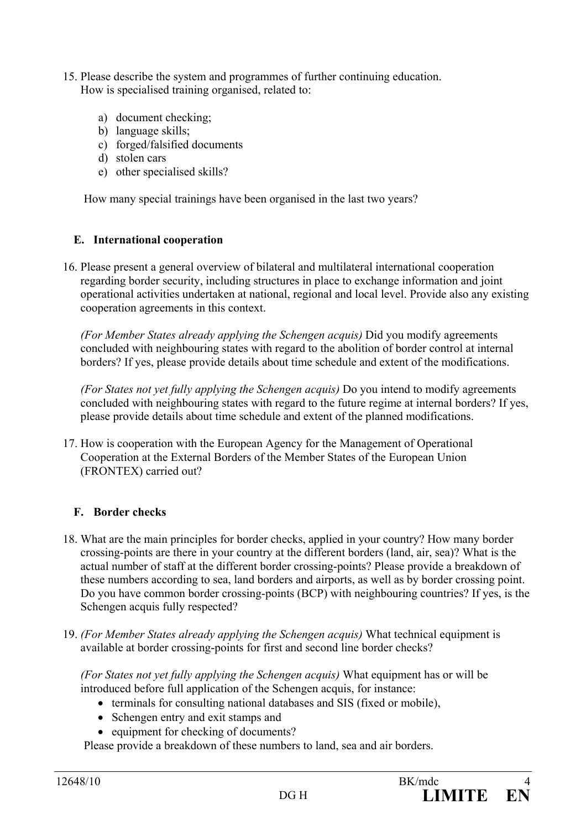- 15. Please describe the system and programmes of further continuing education. How is specialised training organised, related to:
	- a) document checking;
	- b) language skills;
	- c) forged/falsified documents
	- d) stolen cars
	- e) other specialised skills?

How many special trainings have been organised in the last two years?

## **E. International cooperation**

16. Please present a general overview of bilateral and multilateral international cooperation regarding border security, including structures in place to exchange information and joint operational activities undertaken at national, regional and local level. Provide also any existing cooperation agreements in this context.

*(For Member States already applying the Schengen acquis)* Did you modify agreements concluded with neighbouring states with regard to the abolition of border control at internal borders? If yes, please provide details about time schedule and extent of the modifications.

 *(For States not yet fully applying the Schengen acquis)* Do you intend to modify agreements concluded with neighbouring states with regard to the future regime at internal borders? If yes, please provide details about time schedule and extent of the planned modifications.

17. How is cooperation with the European Agency for the Management of Operational Cooperation at the External Borders of the Member States of the European Union (FRONTEX) carried out?

## **F. Border checks**

- 18. What are the main principles for border checks, applied in your country? How many border crossing-points are there in your country at the different borders (land, air, sea)? What is the actual number of staff at the different border crossing-points? Please provide a breakdown of these numbers according to sea, land borders and airports, as well as by border crossing point. Do you have common border crossing-points (BCP) with neighbouring countries? If yes, is the Schengen acquis fully respected?
- 19. *(For Member States already applying the Schengen acquis)* What technical equipment is available at border crossing-points for first and second line border checks?

*(For States not yet fully applying the Schengen acquis)* What equipment has or will be introduced before full application of the Schengen acquis, for instance:

- terminals for consulting national databases and SIS (fixed or mobile),
- Schengen entry and exit stamps and
- equipment for checking of documents?

Please provide a breakdown of these numbers to land, sea and air borders.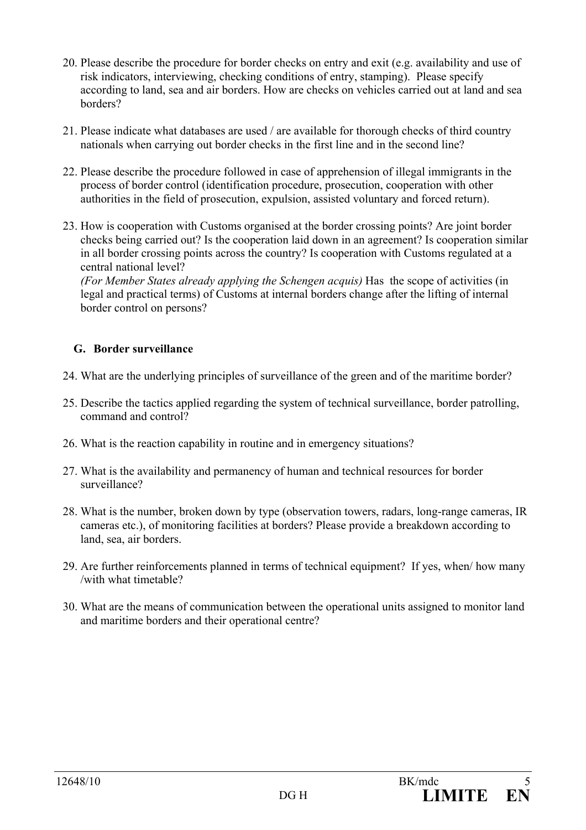- 20. Please describe the procedure for border checks on entry and exit (e.g. availability and use of risk indicators, interviewing, checking conditions of entry, stamping). Please specify according to land, sea and air borders. How are checks on vehicles carried out at land and sea borders?
- 21. Please indicate what databases are used / are available for thorough checks of third country nationals when carrying out border checks in the first line and in the second line?
- 22. Please describe the procedure followed in case of apprehension of illegal immigrants in the process of border control (identification procedure, prosecution, cooperation with other authorities in the field of prosecution, expulsion, assisted voluntary and forced return).
- 23. How is cooperation with Customs organised at the border crossing points? Are joint border checks being carried out? Is the cooperation laid down in an agreement? Is cooperation similar in all border crossing points across the country? Is cooperation with Customs regulated at a central national level?

*(For Member States already applying the Schengen acquis)* Has the scope of activities (in legal and practical terms) of Customs at internal borders change after the lifting of internal border control on persons?

## **G. Border surveillance**

- 24. What are the underlying principles of surveillance of the green and of the maritime border?
- 25. Describe the tactics applied regarding the system of technical surveillance, border patrolling, command and control?
- 26. What is the reaction capability in routine and in emergency situations?
- 27. What is the availability and permanency of human and technical resources for border surveillance?
- 28. What is the number, broken down by type (observation towers, radars, long-range cameras, IR cameras etc.), of monitoring facilities at borders? Please provide a breakdown according to land, sea, air borders.
- 29. Are further reinforcements planned in terms of technical equipment? If yes, when/ how many /with what timetable?
- 30. What are the means of communication between the operational units assigned to monitor land and maritime borders and their operational centre?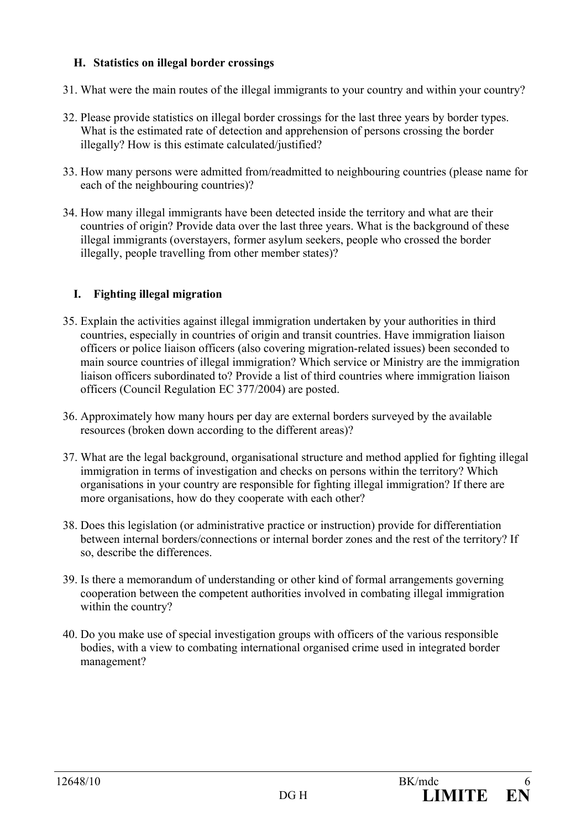## **H. Statistics on illegal border crossings**

- 31. What were the main routes of the illegal immigrants to your country and within your country?
- 32. Please provide statistics on illegal border crossings for the last three years by border types. What is the estimated rate of detection and apprehension of persons crossing the border illegally? How is this estimate calculated/justified?
- 33. How many persons were admitted from/readmitted to neighbouring countries (please name for each of the neighbouring countries)?
- 34. How many illegal immigrants have been detected inside the territory and what are their countries of origin? Provide data over the last three years. What is the background of these illegal immigrants (overstayers, former asylum seekers, people who crossed the border illegally, people travelling from other member states)?

## **I. Fighting illegal migration**

- 35. Explain the activities against illegal immigration undertaken by your authorities in third countries, especially in countries of origin and transit countries. Have immigration liaison officers or police liaison officers (also covering migration-related issues) been seconded to main source countries of illegal immigration? Which service or Ministry are the immigration liaison officers subordinated to? Provide a list of third countries where immigration liaison officers (Council Regulation EC 377/2004) are posted.
- 36. Approximately how many hours per day are external borders surveyed by the available resources (broken down according to the different areas)?
- 37. What are the legal background, organisational structure and method applied for fighting illegal immigration in terms of investigation and checks on persons within the territory? Which organisations in your country are responsible for fighting illegal immigration? If there are more organisations, how do they cooperate with each other?
- 38. Does this legislation (or administrative practice or instruction) provide for differentiation between internal borders/connections or internal border zones and the rest of the territory? If so, describe the differences.
- 39. Is there a memorandum of understanding or other kind of formal arrangements governing cooperation between the competent authorities involved in combating illegal immigration within the country?
- 40. Do you make use of special investigation groups with officers of the various responsible bodies, with a view to combating international organised crime used in integrated border management?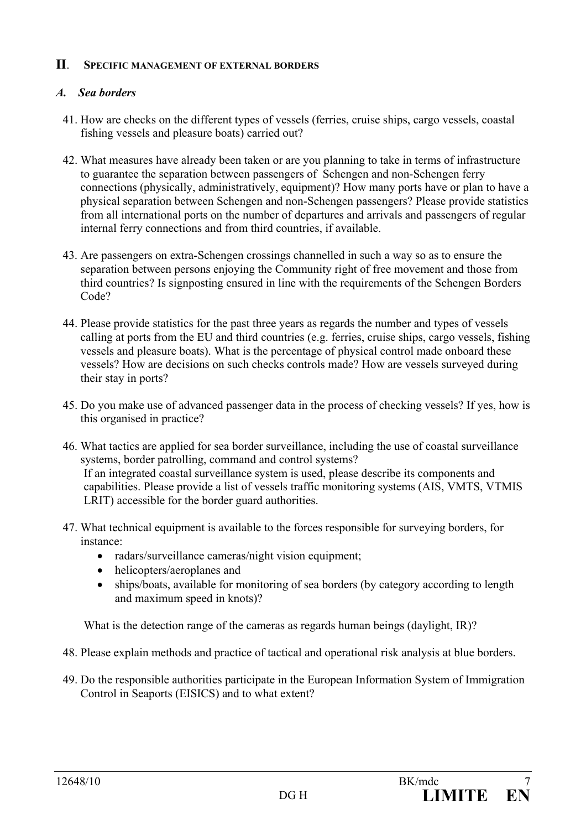## **II**. **SPECIFIC MANAGEMENT OF EXTERNAL BORDERS**

## *A. Sea borders*

- 41. How are checks on the different types of vessels (ferries, cruise ships, cargo vessels, coastal fishing vessels and pleasure boats) carried out?
- 42. What measures have already been taken or are you planning to take in terms of infrastructure to guarantee the separation between passengers of Schengen and non-Schengen ferry connections (physically, administratively, equipment)? How many ports have or plan to have a physical separation between Schengen and non-Schengen passengers? Please provide statistics from all international ports on the number of departures and arrivals and passengers of regular internal ferry connections and from third countries, if available.
- 43. Are passengers on extra-Schengen crossings channelled in such a way so as to ensure the separation between persons enjoying the Community right of free movement and those from third countries? Is signposting ensured in line with the requirements of the Schengen Borders Code?
- 44. Please provide statistics for the past three years as regards the number and types of vessels calling at ports from the EU and third countries (e.g. ferries, cruise ships, cargo vessels, fishing vessels and pleasure boats). What is the percentage of physical control made onboard these vessels? How are decisions on such checks controls made? How are vessels surveyed during their stay in ports?
- 45. Do you make use of advanced passenger data in the process of checking vessels? If yes, how is this organised in practice?
- 46. What tactics are applied for sea border surveillance, including the use of coastal surveillance systems, border patrolling, command and control systems? If an integrated coastal surveillance system is used, please describe its components and capabilities. Please provide a list of vessels traffic monitoring systems (AIS, VMTS, VTMIS LRIT) accessible for the border guard authorities.
- 47. What technical equipment is available to the forces responsible for surveying borders, for instance:
	- radars/surveillance cameras/night vision equipment;
	- helicopters/aeroplanes and
	- ships/boats, available for monitoring of sea borders (by category according to length and maximum speed in knots)?

What is the detection range of the cameras as regards human beings (daylight, IR)?

- 48. Please explain methods and practice of tactical and operational risk analysis at blue borders.
- 49. Do the responsible authorities participate in the European Information System of Immigration Control in Seaports (EISICS) and to what extent?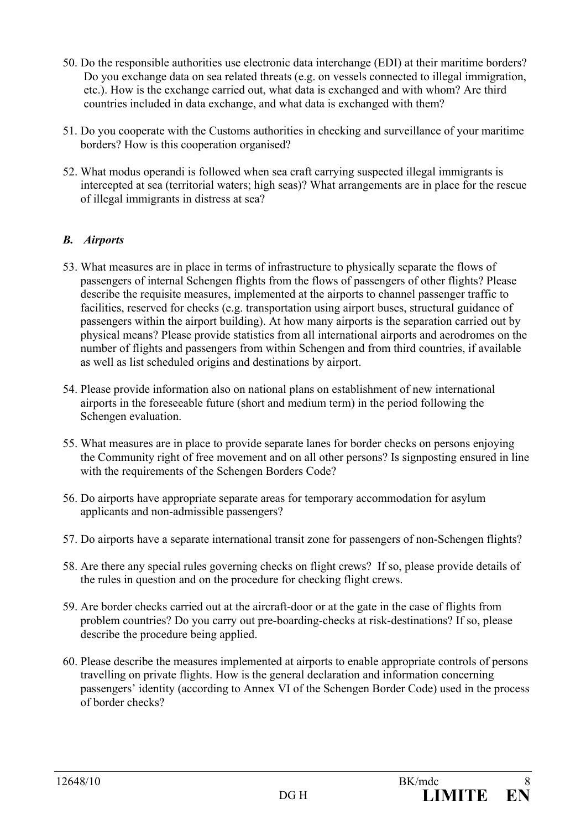- 50. Do the responsible authorities use electronic data interchange (EDI) at their maritime borders? Do you exchange data on sea related threats (e.g. on vessels connected to illegal immigration, etc.). How is the exchange carried out, what data is exchanged and with whom? Are third countries included in data exchange, and what data is exchanged with them?
- 51. Do you cooperate with the Customs authorities in checking and surveillance of your maritime borders? How is this cooperation organised?
- 52. What modus operandi is followed when sea craft carrying suspected illegal immigrants is intercepted at sea (territorial waters; high seas)? What arrangements are in place for the rescue of illegal immigrants in distress at sea?

## *B. Airports*

- 53. What measures are in place in terms of infrastructure to physically separate the flows of passengers of internal Schengen flights from the flows of passengers of other flights? Please describe the requisite measures, implemented at the airports to channel passenger traffic to facilities, reserved for checks (e.g. transportation using airport buses, structural guidance of passengers within the airport building). At how many airports is the separation carried out by physical means? Please provide statistics from all international airports and aerodromes on the number of flights and passengers from within Schengen and from third countries, if available as well as list scheduled origins and destinations by airport.
- 54. Please provide information also on national plans on establishment of new international airports in the foreseeable future (short and medium term) in the period following the Schengen evaluation.
- 55. What measures are in place to provide separate lanes for border checks on persons enjoying the Community right of free movement and on all other persons? Is signposting ensured in line with the requirements of the Schengen Borders Code?
- 56. Do airports have appropriate separate areas for temporary accommodation for asylum applicants and non-admissible passengers?
- 57. Do airports have a separate international transit zone for passengers of non-Schengen flights?
- 58. Are there any special rules governing checks on flight crews? If so, please provide details of the rules in question and on the procedure for checking flight crews.
- 59. Are border checks carried out at the aircraft-door or at the gate in the case of flights from problem countries? Do you carry out pre-boarding-checks at risk-destinations? If so, please describe the procedure being applied.
- 60. Please describe the measures implemented at airports to enable appropriate controls of persons travelling on private flights. How is the general declaration and information concerning passengers' identity (according to Annex VI of the Schengen Border Code) used in the process of border checks?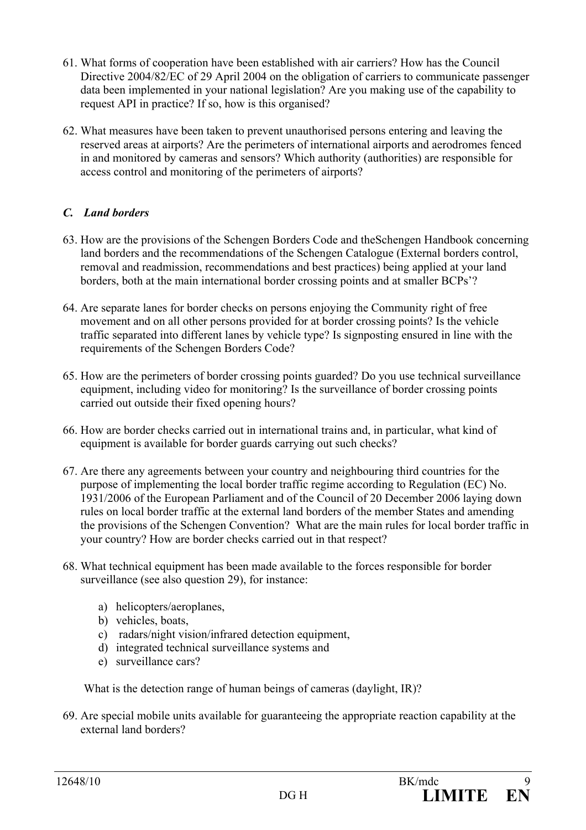- 61. What forms of cooperation have been established with air carriers? How has the Council Directive 2004/82/EC of 29 April 2004 on the obligation of carriers to communicate passenger data been implemented in your national legislation? Are you making use of the capability to request API in practice? If so, how is this organised?
- 62. What measures have been taken to prevent unauthorised persons entering and leaving the reserved areas at airports? Are the perimeters of international airports and aerodromes fenced in and monitored by cameras and sensors? Which authority (authorities) are responsible for access control and monitoring of the perimeters of airports?

## *C. Land borders*

- 63. How are the provisions of the Schengen Borders Code and theSchengen Handbook concerning land borders and the recommendations of the Schengen Catalogue (External borders control, removal and readmission, recommendations and best practices) being applied at your land borders, both at the main international border crossing points and at smaller BCPs'?
- 64. Are separate lanes for border checks on persons enjoying the Community right of free movement and on all other persons provided for at border crossing points? Is the vehicle traffic separated into different lanes by vehicle type? Is signposting ensured in line with the requirements of the Schengen Borders Code?
- 65. How are the perimeters of border crossing points guarded? Do you use technical surveillance equipment, including video for monitoring? Is the surveillance of border crossing points carried out outside their fixed opening hours?
- 66. How are border checks carried out in international trains and, in particular, what kind of equipment is available for border guards carrying out such checks?
- 67. Are there any agreements between your country and neighbouring third countries for the purpose of implementing the local border traffic regime according to Regulation (EC) No. 1931/2006 of the European Parliament and of the Council of 20 December 2006 laying down rules on local border traffic at the external land borders of the member States and amending the provisions of the Schengen Convention? What are the main rules for local border traffic in your country? How are border checks carried out in that respect?
- 68. What technical equipment has been made available to the forces responsible for border surveillance (see also question 29), for instance:
	- a) helicopters/aeroplanes,
	- b) vehicles, boats.
	- c) radars/night vision/infrared detection equipment,
	- d) integrated technical surveillance systems and
	- e) surveillance cars?

What is the detection range of human beings of cameras (daylight, IR)?

69. Are special mobile units available for guaranteeing the appropriate reaction capability at the external land borders?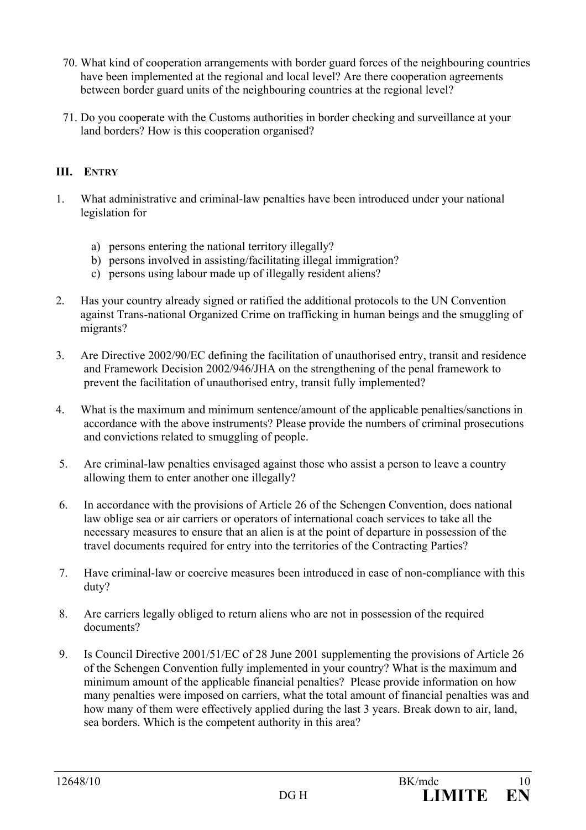- 70. What kind of cooperation arrangements with border guard forces of the neighbouring countries have been implemented at the regional and local level? Are there cooperation agreements between border guard units of the neighbouring countries at the regional level?
- 71. Do you cooperate with the Customs authorities in border checking and surveillance at your land borders? How is this cooperation organised?

## **III. ENTRY**

- 1. What administrative and criminal-law penalties have been introduced under your national legislation for
	- a) persons entering the national territory illegally?
	- b) persons involved in assisting/facilitating illegal immigration?
	- c) persons using labour made up of illegally resident aliens?
- 2. Has your country already signed or ratified the additional protocols to the UN Convention against Trans-national Organized Crime on trafficking in human beings and the smuggling of migrants?
- 3. Are Directive 2002/90/EC defining the facilitation of unauthorised entry, transit and residence and Framework Decision 2002/946/JHA on the strengthening of the penal framework to prevent the facilitation of unauthorised entry, transit fully implemented?
- 4. What is the maximum and minimum sentence/amount of the applicable penalties/sanctions in accordance with the above instruments? Please provide the numbers of criminal prosecutions and convictions related to smuggling of people.
- 5. Are criminal-law penalties envisaged against those who assist a person to leave a country allowing them to enter another one illegally?
- 6. In accordance with the provisions of Article 26 of the Schengen Convention, does national law oblige sea or air carriers or operators of international coach services to take all the necessary measures to ensure that an alien is at the point of departure in possession of the travel documents required for entry into the territories of the Contracting Parties?
- 7. Have criminal-law or coercive measures been introduced in case of non-compliance with this duty?
- 8. Are carriers legally obliged to return aliens who are not in possession of the required documents?
- 9. Is Council Directive 2001/51/EC of 28 June 2001 supplementing the provisions of Article 26 of the Schengen Convention fully implemented in your country? What is the maximum and minimum amount of the applicable financial penalties? Please provide information on how many penalties were imposed on carriers, what the total amount of financial penalties was and how many of them were effectively applied during the last 3 years. Break down to air, land, sea borders. Which is the competent authority in this area?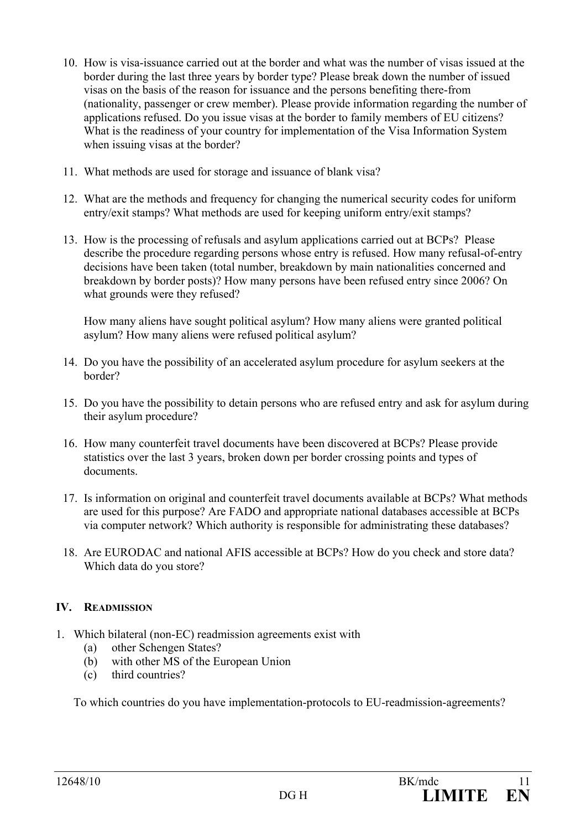- 10. How is visa-issuance carried out at the border and what was the number of visas issued at the border during the last three years by border type? Please break down the number of issued visas on the basis of the reason for issuance and the persons benefiting there-from (nationality, passenger or crew member). Please provide information regarding the number of applications refused. Do you issue visas at the border to family members of EU citizens? What is the readiness of your country for implementation of the Visa Information System when issuing visas at the border?
- 11. What methods are used for storage and issuance of blank visa?
- 12. What are the methods and frequency for changing the numerical security codes for uniform entry/exit stamps? What methods are used for keeping uniform entry/exit stamps?
- 13. How is the processing of refusals and asylum applications carried out at BCPs? Please describe the procedure regarding persons whose entry is refused. How many refusal-of-entry decisions have been taken (total number, breakdown by main nationalities concerned and breakdown by border posts)? How many persons have been refused entry since 2006? On what grounds were they refused?

 How many aliens have sought political asylum? How many aliens were granted political asylum? How many aliens were refused political asylum?

- 14. Do you have the possibility of an accelerated asylum procedure for asylum seekers at the border?
- 15. Do you have the possibility to detain persons who are refused entry and ask for asylum during their asylum procedure?
- 16. How many counterfeit travel documents have been discovered at BCPs? Please provide statistics over the last 3 years, broken down per border crossing points and types of documents.
- 17. Is information on original and counterfeit travel documents available at BCPs? What methods are used for this purpose? Are FADO and appropriate national databases accessible at BCPs via computer network? Which authority is responsible for administrating these databases?
- 18. Are EURODAC and national AFIS accessible at BCPs? How do you check and store data? Which data do you store?

## **IV. READMISSION**

- 1. Which bilateral (non-EC) readmission agreements exist with
	- (a) other Schengen States?
	- (b) with other MS of the European Union
	- (c) third countries?

To which countries do you have implementation-protocols to EU-readmission-agreements?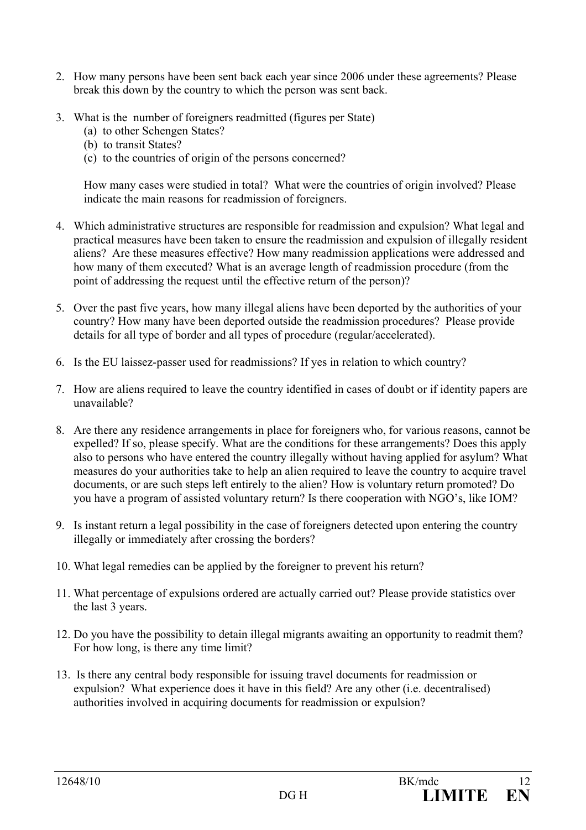- 2. How many persons have been sent back each year since 2006 under these agreements? Please break this down by the country to which the person was sent back.
- 3. What is the number of foreigners readmitted (figures per State)
	- (a) to other Schengen States?
	- (b) to transit States?
	- (c) to the countries of origin of the persons concerned?

How many cases were studied in total? What were the countries of origin involved? Please indicate the main reasons for readmission of foreigners.

- 4. Which administrative structures are responsible for readmission and expulsion? What legal and practical measures have been taken to ensure the readmission and expulsion of illegally resident aliens? Are these measures effective? How many readmission applications were addressed and how many of them executed? What is an average length of readmission procedure (from the point of addressing the request until the effective return of the person)?
- 5. Over the past five years, how many illegal aliens have been deported by the authorities of your country? How many have been deported outside the readmission procedures? Please provide details for all type of border and all types of procedure (regular/accelerated).
- 6. Is the EU laissez-passer used for readmissions? If yes in relation to which country?
- 7. How are aliens required to leave the country identified in cases of doubt or if identity papers are unavailable?
- 8. Are there any residence arrangements in place for foreigners who, for various reasons, cannot be expelled? If so, please specify. What are the conditions for these arrangements? Does this apply also to persons who have entered the country illegally without having applied for asylum? What measures do your authorities take to help an alien required to leave the country to acquire travel documents, or are such steps left entirely to the alien? How is voluntary return promoted? Do you have a program of assisted voluntary return? Is there cooperation with NGO's, like IOM?
- 9. Is instant return a legal possibility in the case of foreigners detected upon entering the country illegally or immediately after crossing the borders?
- 10. What legal remedies can be applied by the foreigner to prevent his return?
- 11. What percentage of expulsions ordered are actually carried out? Please provide statistics over the last 3 years.
- 12. Do you have the possibility to detain illegal migrants awaiting an opportunity to readmit them? For how long, is there any time limit?
- 13. Is there any central body responsible for issuing travel documents for readmission or expulsion? What experience does it have in this field? Are any other (i.e. decentralised) authorities involved in acquiring documents for readmission or expulsion?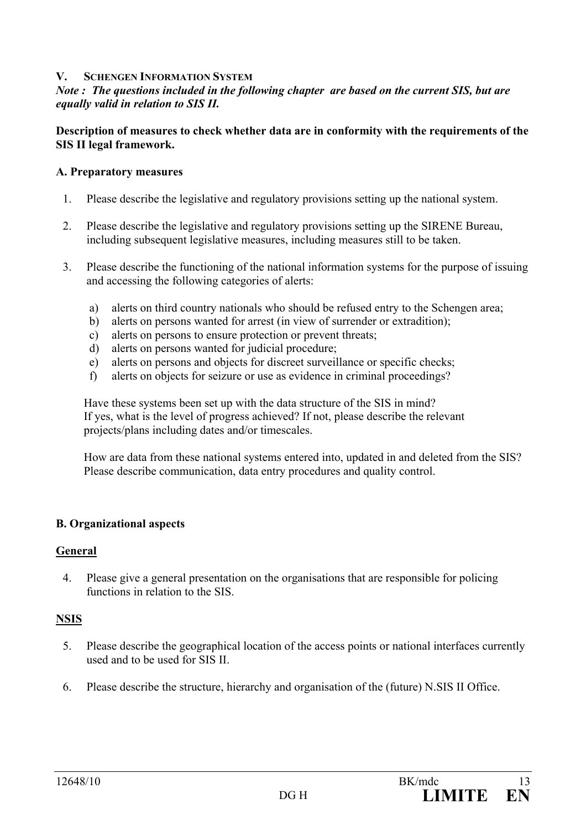#### **V. SCHENGEN INFORMATION SYSTEM**

### *Note : The questions included in the following chapter are based on the current SIS, but are equally valid in relation to SIS II.*

#### **Description of measures to check whether data are in conformity with the requirements of the SIS II legal framework.**

#### **A. Preparatory measures**

- 1. Please describe the legislative and regulatory provisions setting up the national system.
- 2. Please describe the legislative and regulatory provisions setting up the SIRENE Bureau, including subsequent legislative measures, including measures still to be taken.
- 3. Please describe the functioning of the national information systems for the purpose of issuing and accessing the following categories of alerts:
	- a) alerts on third country nationals who should be refused entry to the Schengen area;
	- b) alerts on persons wanted for arrest (in view of surrender or extradition);
	- c) alerts on persons to ensure protection or prevent threats;
	- d) alerts on persons wanted for judicial procedure;
	- e) alerts on persons and objects for discreet surveillance or specific checks;
	- f) alerts on objects for seizure or use as evidence in criminal proceedings?

 Have these systems been set up with the data structure of the SIS in mind? If yes, what is the level of progress achieved? If not, please describe the relevant projects/plans including dates and/or timescales.

 How are data from these national systems entered into, updated in and deleted from the SIS? Please describe communication, data entry procedures and quality control.

#### **B. Organizational aspects**

#### **General**

4. Please give a general presentation on the organisations that are responsible for policing functions in relation to the SIS.

#### **NSIS**

- 5. Please describe the geographical location of the access points or national interfaces currently used and to be used for SIS II.
- 6. Please describe the structure, hierarchy and organisation of the (future) N.SIS II Office.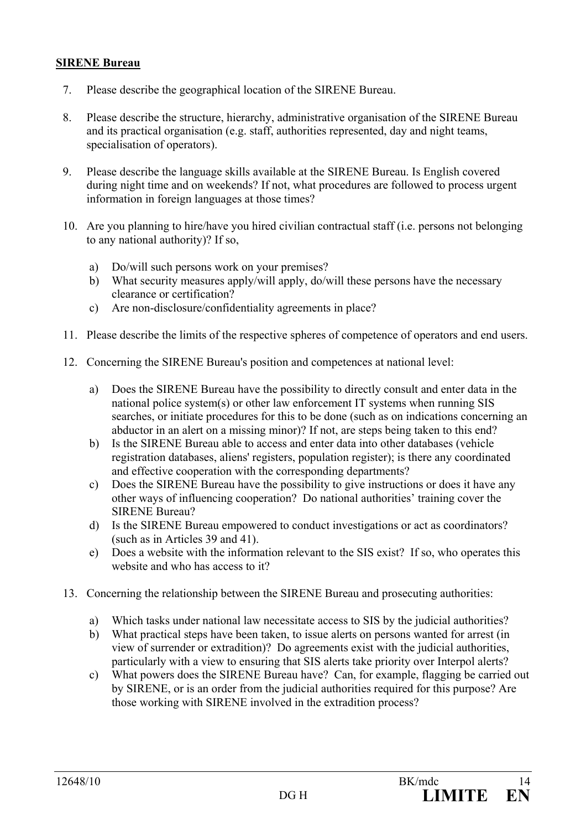#### **SIRENE Bureau**

- 7. Please describe the geographical location of the SIRENE Bureau.
- 8. Please describe the structure, hierarchy, administrative organisation of the SIRENE Bureau and its practical organisation (e.g. staff, authorities represented, day and night teams, specialisation of operators).
- 9. Please describe the language skills available at the SIRENE Bureau. Is English covered during night time and on weekends? If not, what procedures are followed to process urgent information in foreign languages at those times?
- 10. Are you planning to hire/have you hired civilian contractual staff (i.e. persons not belonging to any national authority)? If so,
	- a) Do/will such persons work on your premises?
	- b) What security measures apply/will apply, do/will these persons have the necessary clearance or certification?
	- c) Are non-disclosure/confidentiality agreements in place?
- 11. Please describe the limits of the respective spheres of competence of operators and end users.
- 12. Concerning the SIRENE Bureau's position and competences at national level:
	- a) Does the SIRENE Bureau have the possibility to directly consult and enter data in the national police system(s) or other law enforcement IT systems when running SIS searches, or initiate procedures for this to be done (such as on indications concerning an abductor in an alert on a missing minor)? If not, are steps being taken to this end?
	- b) Is the SIRENE Bureau able to access and enter data into other databases (vehicle registration databases, aliens' registers, population register); is there any coordinated and effective cooperation with the corresponding departments?
	- c) Does the SIRENE Bureau have the possibility to give instructions or does it have any other ways of influencing cooperation? Do national authorities' training cover the SIRENE Bureau?
	- d) Is the SIRENE Bureau empowered to conduct investigations or act as coordinators? (such as in Articles 39 and 41).
	- e) Does a website with the information relevant to the SIS exist? If so, who operates this website and who has access to it?
- 13. Concerning the relationship between the SIRENE Bureau and prosecuting authorities:
	- a) Which tasks under national law necessitate access to SIS by the judicial authorities?
	- b) What practical steps have been taken, to issue alerts on persons wanted for arrest (in view of surrender or extradition)? Do agreements exist with the judicial authorities, particularly with a view to ensuring that SIS alerts take priority over Interpol alerts?
	- c) What powers does the SIRENE Bureau have? Can, for example, flagging be carried out by SIRENE, or is an order from the judicial authorities required for this purpose? Are those working with SIRENE involved in the extradition process?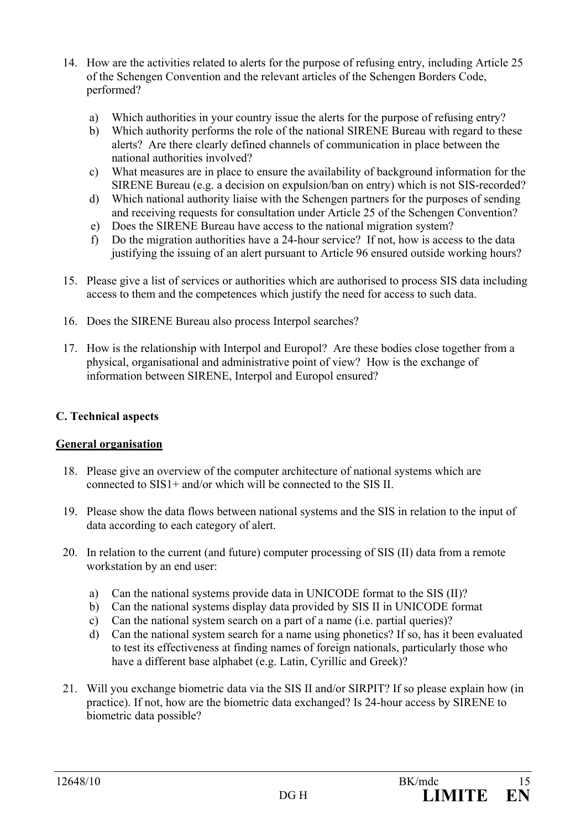- 14. How are the activities related to alerts for the purpose of refusing entry, including Article 25 of the Schengen Convention and the relevant articles of the Schengen Borders Code, performed?
	- a) Which authorities in your country issue the alerts for the purpose of refusing entry?
	- b) Which authority performs the role of the national SIRENE Bureau with regard to these alerts? Are there clearly defined channels of communication in place between the national authorities involved?
	- c) What measures are in place to ensure the availability of background information for the SIRENE Bureau (e.g. a decision on expulsion/ban on entry) which is not SIS-recorded?
	- d) Which national authority liaise with the Schengen partners for the purposes of sending and receiving requests for consultation under Article 25 of the Schengen Convention?
	- e) Does the SIRENE Bureau have access to the national migration system?
	- f) Do the migration authorities have a 24-hour service? If not, how is access to the data justifying the issuing of an alert pursuant to Article 96 ensured outside working hours?
- 15. Please give a list of services or authorities which are authorised to process SIS data including access to them and the competences which justify the need for access to such data.
- 16. Does the SIRENE Bureau also process Interpol searches?
- 17. How is the relationship with Interpol and Europol? Are these bodies close together from a physical, organisational and administrative point of view? How is the exchange of information between SIRENE, Interpol and Europol ensured?

## **C. Technical aspects**

## **General organisation**

- 18. Please give an overview of the computer architecture of national systems which are connected to SIS1+ and/or which will be connected to the SIS II.
- 19. Please show the data flows between national systems and the SIS in relation to the input of data according to each category of alert.
- 20. In relation to the current (and future) computer processing of SIS (II) data from a remote workstation by an end user:
	- a) Can the national systems provide data in UNICODE format to the SIS (II)?
	- b) Can the national systems display data provided by SIS II in UNICODE format
	- c) Can the national system search on a part of a name (i.e. partial queries)?
	- d) Can the national system search for a name using phonetics? If so, has it been evaluated to test its effectiveness at finding names of foreign nationals, particularly those who have a different base alphabet (e.g. Latin, Cyrillic and Greek)?
- 21. Will you exchange biometric data via the SIS II and/or SIRPIT? If so please explain how (in practice). If not, how are the biometric data exchanged? Is 24-hour access by SIRENE to biometric data possible?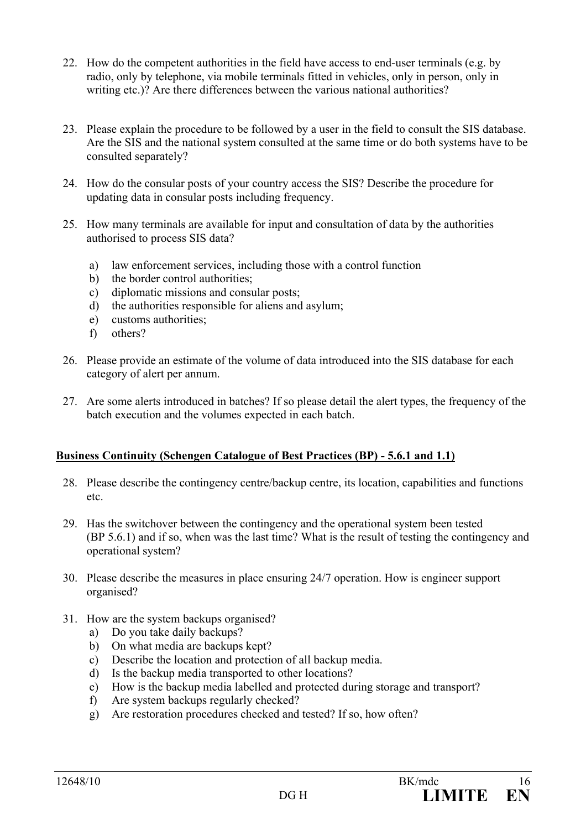- 22. How do the competent authorities in the field have access to end-user terminals (e.g. by radio, only by telephone, via mobile terminals fitted in vehicles, only in person, only in writing etc.)? Are there differences between the various national authorities?
- 23. Please explain the procedure to be followed by a user in the field to consult the SIS database. Are the SIS and the national system consulted at the same time or do both systems have to be consulted separately?
- 24. How do the consular posts of your country access the SIS? Describe the procedure for updating data in consular posts including frequency.
- 25. How many terminals are available for input and consultation of data by the authorities authorised to process SIS data?
	- a) law enforcement services, including those with a control function
	- b) the border control authorities;
	- c) diplomatic missions and consular posts;
	- d) the authorities responsible for aliens and asylum;
	- e) customs authorities;
	- f) others?
- 26. Please provide an estimate of the volume of data introduced into the SIS database for each category of alert per annum.
- 27. Are some alerts introduced in batches? If so please detail the alert types, the frequency of the batch execution and the volumes expected in each batch.

## **Business Continuity (Schengen Catalogue of Best Practices (BP) - 5.6.1 and 1.1)**

- 28. Please describe the contingency centre/backup centre, its location, capabilities and functions etc.
- 29. Has the switchover between the contingency and the operational system been tested (BP 5.6.1) and if so, when was the last time? What is the result of testing the contingency and operational system?
- 30. Please describe the measures in place ensuring 24/7 operation. How is engineer support organised?
- 31. How are the system backups organised?
	- a) Do you take daily backups?
	- b) On what media are backups kept?
	- c) Describe the location and protection of all backup media.
	- d) Is the backup media transported to other locations?
	- e) How is the backup media labelled and protected during storage and transport?
	- f) Are system backups regularly checked?
	- g) Are restoration procedures checked and tested? If so, how often?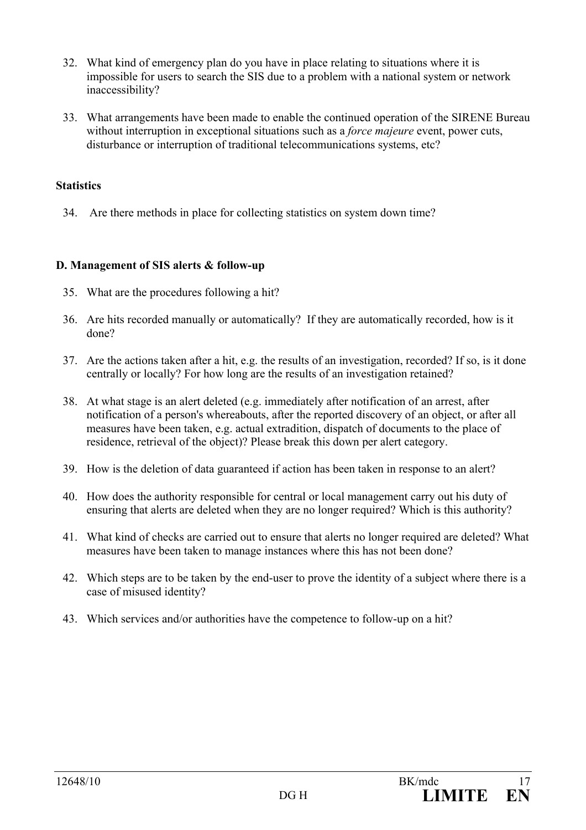- 32. What kind of emergency plan do you have in place relating to situations where it is impossible for users to search the SIS due to a problem with a national system or network inaccessibility?
- 33. What arrangements have been made to enable the continued operation of the SIRENE Bureau without interruption in exceptional situations such as a *force majeure* event, power cuts, disturbance or interruption of traditional telecommunications systems, etc?

### **Statistics**

34. Are there methods in place for collecting statistics on system down time?

#### **D. Management of SIS alerts & follow-up**

- 35. What are the procedures following a hit?
- 36. Are hits recorded manually or automatically? If they are automatically recorded, how is it done?
- 37. Are the actions taken after a hit, e.g. the results of an investigation, recorded? If so, is it done centrally or locally? For how long are the results of an investigation retained?
- 38. At what stage is an alert deleted (e.g. immediately after notification of an arrest, after notification of a person's whereabouts, after the reported discovery of an object, or after all measures have been taken, e.g. actual extradition, dispatch of documents to the place of residence, retrieval of the object)? Please break this down per alert category.
- 39. How is the deletion of data guaranteed if action has been taken in response to an alert?
- 40. How does the authority responsible for central or local management carry out his duty of ensuring that alerts are deleted when they are no longer required? Which is this authority?
- 41. What kind of checks are carried out to ensure that alerts no longer required are deleted? What measures have been taken to manage instances where this has not been done?
- 42. Which steps are to be taken by the end-user to prove the identity of a subject where there is a case of misused identity?
- 43. Which services and/or authorities have the competence to follow-up on a hit?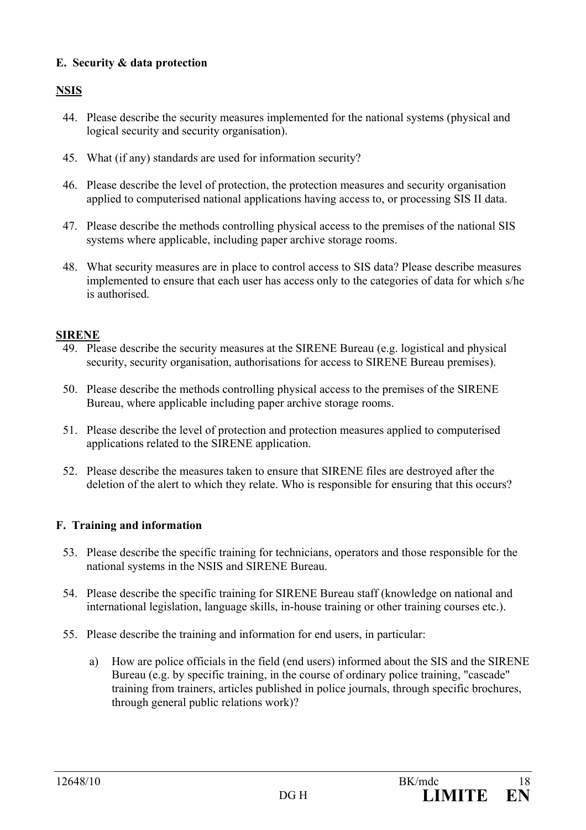## **E. Security & data protection**

## **NSIS**

- 44. Please describe the security measures implemented for the national systems (physical and logical security and security organisation).
- 45. What (if any) standards are used for information security?
- 46. Please describe the level of protection, the protection measures and security organisation applied to computerised national applications having access to, or processing SIS II data.
- 47. Please describe the methods controlling physical access to the premises of the national SIS systems where applicable, including paper archive storage rooms.
- 48. What security measures are in place to control access to SIS data? Please describe measures implemented to ensure that each user has access only to the categories of data for which s/he is authorised.

## **SIRENE**

- 49. Please describe the security measures at the SIRENE Bureau (e.g. logistical and physical security, security organisation, authorisations for access to SIRENE Bureau premises).
- 50. Please describe the methods controlling physical access to the premises of the SIRENE Bureau, where applicable including paper archive storage rooms.
- 51. Please describe the level of protection and protection measures applied to computerised applications related to the SIRENE application.
- 52. Please describe the measures taken to ensure that SIRENE files are destroyed after the deletion of the alert to which they relate. Who is responsible for ensuring that this occurs?

## **F. Training and information**

- 53. Please describe the specific training for technicians, operators and those responsible for the national systems in the NSIS and SIRENE Bureau.
- 54. Please describe the specific training for SIRENE Bureau staff (knowledge on national and international legislation, language skills, in-house training or other training courses etc.).
- 55. Please describe the training and information for end users, in particular:
	- a) How are police officials in the field (end users) informed about the SIS and the SIRENE Bureau (e.g. by specific training, in the course of ordinary police training, "cascade" training from trainers, articles published in police journals, through specific brochures, through general public relations work)?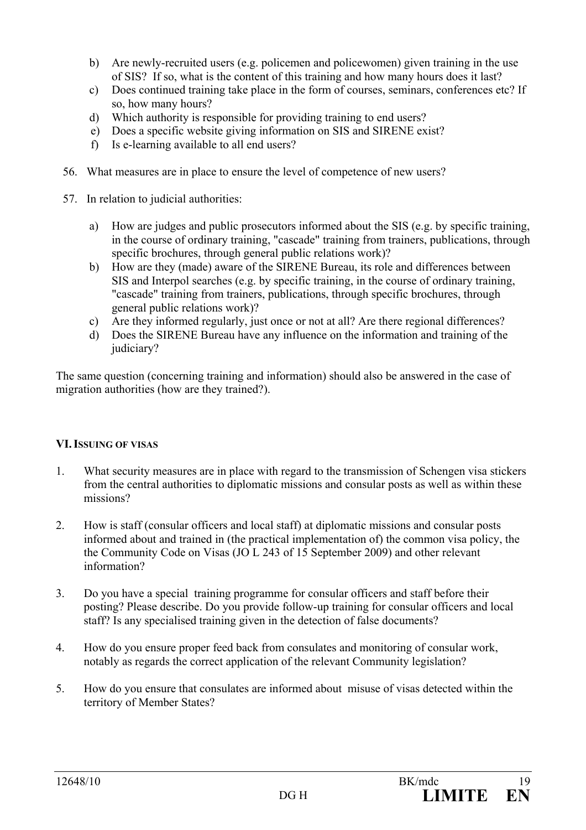- b) Are newly-recruited users (e.g. policemen and policewomen) given training in the use of SIS? If so, what is the content of this training and how many hours does it last?
- c) Does continued training take place in the form of courses, seminars, conferences etc? If so, how many hours?
- d) Which authority is responsible for providing training to end users?
- e) Does a specific website giving information on SIS and SIRENE exist?
- f) Is e-learning available to all end users?
- 56. What measures are in place to ensure the level of competence of new users?
- 57. In relation to judicial authorities:
	- a) How are judges and public prosecutors informed about the SIS (e.g. by specific training, in the course of ordinary training, "cascade" training from trainers, publications, through specific brochures, through general public relations work)?
	- b) How are they (made) aware of the SIRENE Bureau, its role and differences between SIS and Interpol searches (e.g. by specific training, in the course of ordinary training, "cascade" training from trainers, publications, through specific brochures, through general public relations work)?
	- c) Are they informed regularly, just once or not at all? Are there regional differences?
	- d) Does the SIRENE Bureau have any influence on the information and training of the judiciary?

The same question (concerning training and information) should also be answered in the case of migration authorities (how are they trained?).

## **VI. ISSUING OF VISAS**

- 1. What security measures are in place with regard to the transmission of Schengen visa stickers from the central authorities to diplomatic missions and consular posts as well as within these missions?
- 2. How is staff (consular officers and local staff) at diplomatic missions and consular posts informed about and trained in (the practical implementation of) the common visa policy, the the Community Code on Visas (JO L 243 of 15 September 2009) and other relevant information?
- 3. Do you have a special training programme for consular officers and staff before their posting? Please describe. Do you provide follow-up training for consular officers and local staff? Is any specialised training given in the detection of false documents?
- 4. How do you ensure proper feed back from consulates and monitoring of consular work, notably as regards the correct application of the relevant Community legislation?
- 5. How do you ensure that consulates are informed about misuse of visas detected within the territory of Member States?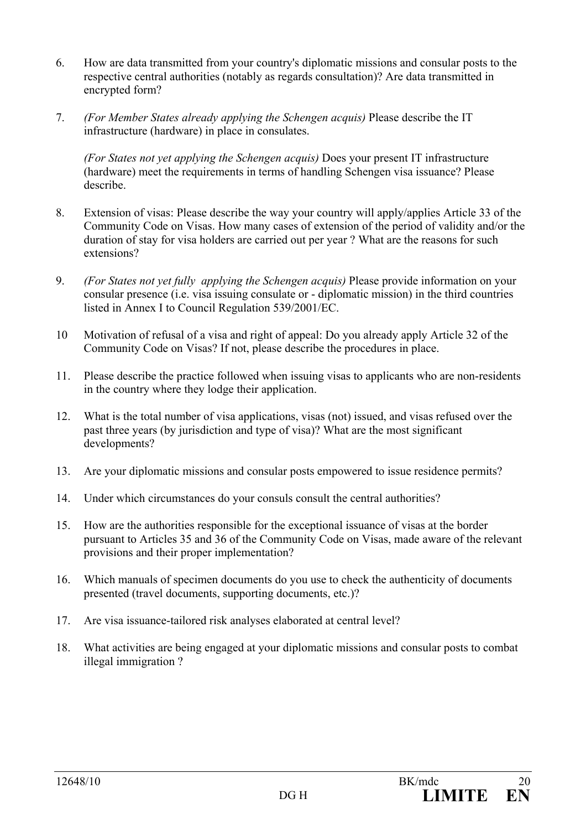- 6. How are data transmitted from your country's diplomatic missions and consular posts to the respective central authorities (notably as regards consultation)? Are data transmitted in encrypted form?
- 7. *(For Member States already applying the Schengen acquis)* Please describe the IT infrastructure (hardware) in place in consulates.

*(For States not yet applying the Schengen acquis)* Does your present IT infrastructure (hardware) meet the requirements in terms of handling Schengen visa issuance? Please describe.

- 8. Extension of visas: Please describe the way your country will apply/applies Article 33 of the Community Code on Visas. How many cases of extension of the period of validity and/or the duration of stay for visa holders are carried out per year ? What are the reasons for such extensions?
- 9. *(For States not yet fully applying the Schengen acquis)* Please provide information on your consular presence (i.e. visa issuing consulate or - diplomatic mission) in the third countries listed in Annex I to Council Regulation 539/2001/EC.
- 10 Motivation of refusal of a visa and right of appeal: Do you already apply Article 32 of the Community Code on Visas? If not, please describe the procedures in place.
- 11. Please describe the practice followed when issuing visas to applicants who are non-residents in the country where they lodge their application.
- 12. What is the total number of visa applications, visas (not) issued, and visas refused over the past three years (by jurisdiction and type of visa)? What are the most significant developments?
- 13. Are your diplomatic missions and consular posts empowered to issue residence permits?
- 14. Under which circumstances do your consuls consult the central authorities?
- 15. How are the authorities responsible for the exceptional issuance of visas at the border pursuant to Articles 35 and 36 of the Community Code on Visas, made aware of the relevant provisions and their proper implementation?
- 16. Which manuals of specimen documents do you use to check the authenticity of documents presented (travel documents, supporting documents, etc.)?
- 17. Are visa issuance-tailored risk analyses elaborated at central level?
- 18. What activities are being engaged at your diplomatic missions and consular posts to combat illegal immigration ?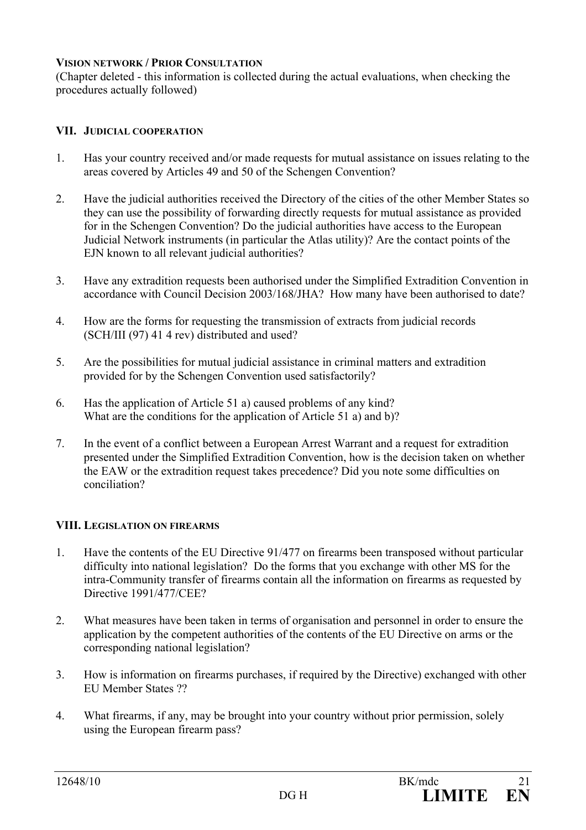### **VISION NETWORK / PRIOR CONSULTATION**

(Chapter deleted - this information is collected during the actual evaluations, when checking the procedures actually followed)

### **VII. JUDICIAL COOPERATION**

- 1. Has your country received and/or made requests for mutual assistance on issues relating to the areas covered by Articles 49 and 50 of the Schengen Convention?
- 2. Have the judicial authorities received the Directory of the cities of the other Member States so they can use the possibility of forwarding directly requests for mutual assistance as provided for in the Schengen Convention? Do the judicial authorities have access to the European Judicial Network instruments (in particular the Atlas utility)? Are the contact points of the EJN known to all relevant judicial authorities?
- 3. Have any extradition requests been authorised under the Simplified Extradition Convention in accordance with Council Decision 2003/168/JHA? How many have been authorised to date?
- 4. How are the forms for requesting the transmission of extracts from judicial records (SCH/III (97) 41 4 rev) distributed and used?
- 5. Are the possibilities for mutual judicial assistance in criminal matters and extradition provided for by the Schengen Convention used satisfactorily?
- 6. Has the application of Article 51 a) caused problems of any kind? What are the conditions for the application of Article 51 a) and b)?
- 7. In the event of a conflict between a European Arrest Warrant and a request for extradition presented under the Simplified Extradition Convention, how is the decision taken on whether the EAW or the extradition request takes precedence? Did you note some difficulties on conciliation?

## **VIII. LEGISLATION ON FIREARMS**

- 1. Have the contents of the EU Directive 91/477 on firearms been transposed without particular difficulty into national legislation? Do the forms that you exchange with other MS for the intra-Community transfer of firearms contain all the information on firearms as requested by Directive 1991/477/CEE?
- 2. What measures have been taken in terms of organisation and personnel in order to ensure the application by the competent authorities of the contents of the EU Directive on arms or the corresponding national legislation?
- 3. How is information on firearms purchases, if required by the Directive) exchanged with other EU Member States ??
- 4. What firearms, if any, may be brought into your country without prior permission, solely using the European firearm pass?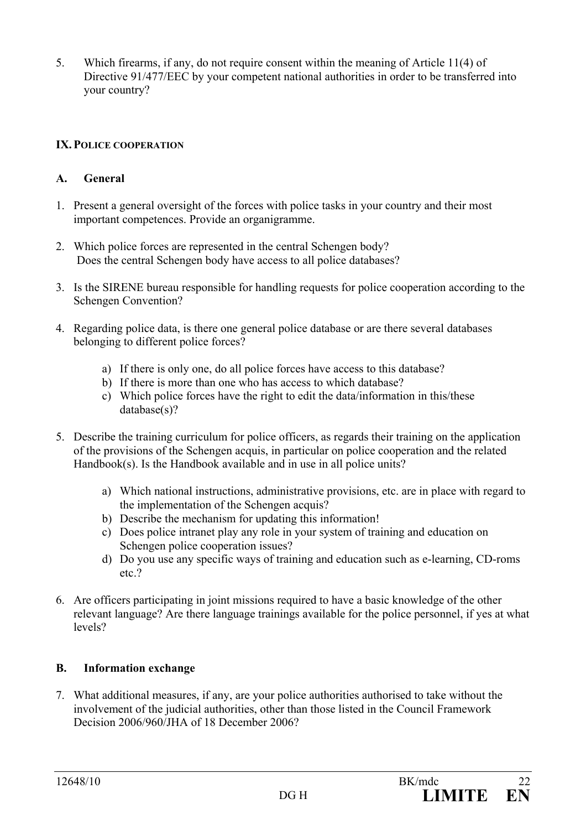5. Which firearms, if any, do not require consent within the meaning of Article 11(4) of Directive 91/477/EEC by your competent national authorities in order to be transferred into your country?

## **IX. POLICE COOPERATION**

## **A. General**

- 1. Present a general oversight of the forces with police tasks in your country and their most important competences. Provide an organigramme.
- 2. Which police forces are represented in the central Schengen body? Does the central Schengen body have access to all police databases?
- 3. Is the SIRENE bureau responsible for handling requests for police cooperation according to the Schengen Convention?
- 4. Regarding police data, is there one general police database or are there several databases belonging to different police forces?
	- a) If there is only one, do all police forces have access to this database?
	- b) If there is more than one who has access to which database?
	- c) Which police forces have the right to edit the data/information in this/these database(s)?
- 5. Describe the training curriculum for police officers, as regards their training on the application of the provisions of the Schengen acquis, in particular on police cooperation and the related Handbook(s). Is the Handbook available and in use in all police units?
	- a) Which national instructions, administrative provisions, etc. are in place with regard to the implementation of the Schengen acquis?
	- b) Describe the mechanism for updating this information!
	- c) Does police intranet play any role in your system of training and education on Schengen police cooperation issues?
	- d) Do you use any specific ways of training and education such as e-learning, CD-roms etc.?
- 6. Are officers participating in joint missions required to have a basic knowledge of the other relevant language? Are there language trainings available for the police personnel, if yes at what levels?

## **B. Information exchange**

7. What additional measures, if any, are your police authorities authorised to take without the involvement of the judicial authorities, other than those listed in the Council Framework Decision 2006/960/JHA of 18 December 2006?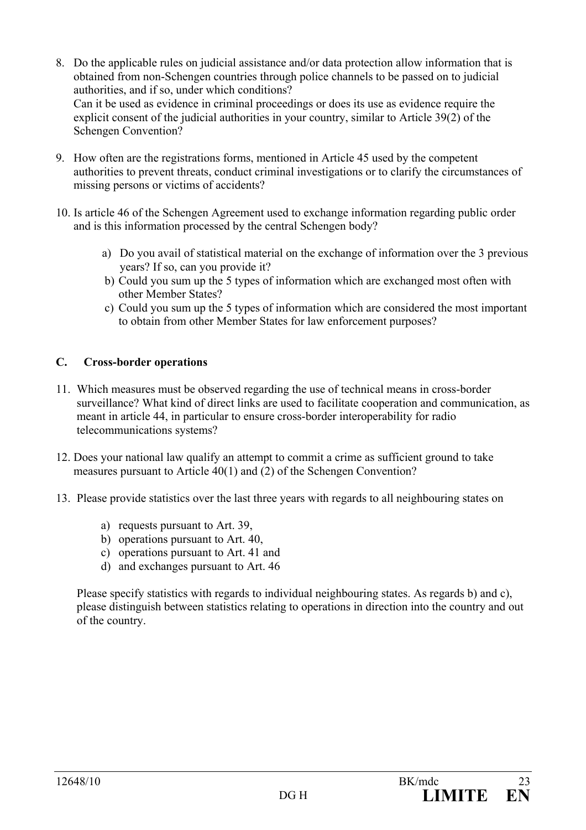- 8. Do the applicable rules on judicial assistance and/or data protection allow information that is obtained from non-Schengen countries through police channels to be passed on to judicial authorities, and if so, under which conditions? Can it be used as evidence in criminal proceedings or does its use as evidence require the explicit consent of the judicial authorities in your country, similar to Article 39(2) of the Schengen Convention?
- 9. How often are the registrations forms, mentioned in Article 45 used by the competent authorities to prevent threats, conduct criminal investigations or to clarify the circumstances of missing persons or victims of accidents?
- 10. Is article 46 of the Schengen Agreement used to exchange information regarding public order and is this information processed by the central Schengen body?
	- a) Do you avail of statistical material on the exchange of information over the 3 previous years? If so, can you provide it?
	- b) Could you sum up the 5 types of information which are exchanged most often with other Member States?
	- c) Could you sum up the 5 types of information which are considered the most important to obtain from other Member States for law enforcement purposes?

## **C. Cross-border operations**

- 11. Which measures must be observed regarding the use of technical means in cross-border surveillance? What kind of direct links are used to facilitate cooperation and communication, as meant in article 44, in particular to ensure cross-border interoperability for radio telecommunications systems?
- 12. Does your national law qualify an attempt to commit a crime as sufficient ground to take measures pursuant to Article 40(1) and (2) of the Schengen Convention?
- 13. Please provide statistics over the last three years with regards to all neighbouring states on
	- a) requests pursuant to Art. 39,
	- b) operations pursuant to Art. 40,
	- c) operations pursuant to Art. 41 and
	- d) and exchanges pursuant to Art. 46

 Please specify statistics with regards to individual neighbouring states. As regards b) and c), please distinguish between statistics relating to operations in direction into the country and out of the country.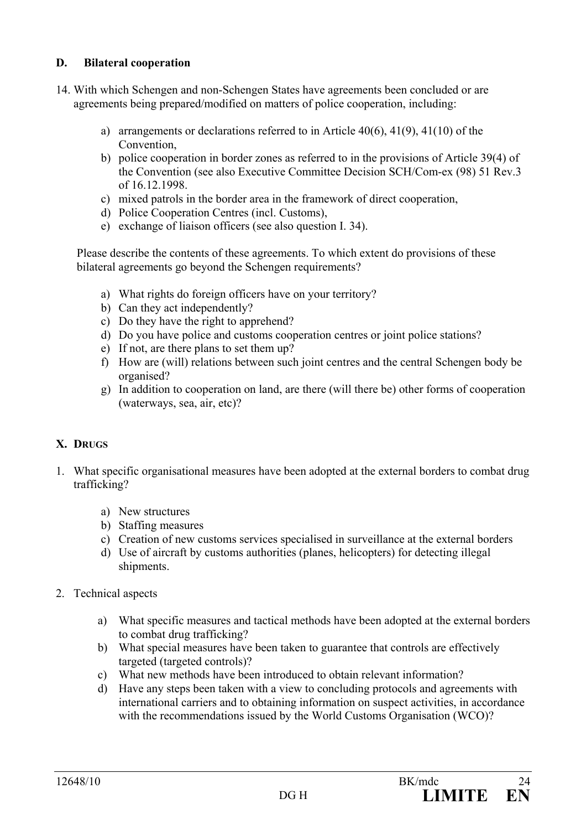## **D. Bilateral cooperation**

- 14. With which Schengen and non-Schengen States have agreements been concluded or are agreements being prepared/modified on matters of police cooperation, including:
	- a) arrangements or declarations referred to in Article  $40(6)$ ,  $41(9)$ ,  $41(10)$  of the Convention,
	- b) police cooperation in border zones as referred to in the provisions of Article 39(4) of the Convention (see also Executive Committee Decision SCH/Com-ex (98) 51 Rev.3 of 16.12.1998.
	- c) mixed patrols in the border area in the framework of direct cooperation,
	- d) Police Cooperation Centres (incl. Customs),
	- e) exchange of liaison officers (see also question I. 34).

Please describe the contents of these agreements. To which extent do provisions of these bilateral agreements go beyond the Schengen requirements?

- a) What rights do foreign officers have on your territory?
- b) Can they act independently?
- c) Do they have the right to apprehend?
- d) Do you have police and customs cooperation centres or joint police stations?
- e) If not, are there plans to set them up?
- f) How are (will) relations between such joint centres and the central Schengen body be organised?
- g) In addition to cooperation on land, are there (will there be) other forms of cooperation (waterways, sea, air, etc)?

## **X. DRUGS**

- 1. What specific organisational measures have been adopted at the external borders to combat drug trafficking?
	- a) New structures
	- b) Staffing measures
	- c) Creation of new customs services specialised in surveillance at the external borders
	- d) Use of aircraft by customs authorities (planes, helicopters) for detecting illegal shipments.
- 2. Technical aspects
	- a) What specific measures and tactical methods have been adopted at the external borders to combat drug trafficking?
	- b) What special measures have been taken to guarantee that controls are effectively targeted (targeted controls)?
	- c) What new methods have been introduced to obtain relevant information?
	- d) Have any steps been taken with a view to concluding protocols and agreements with international carriers and to obtaining information on suspect activities, in accordance with the recommendations issued by the World Customs Organisation (WCO)?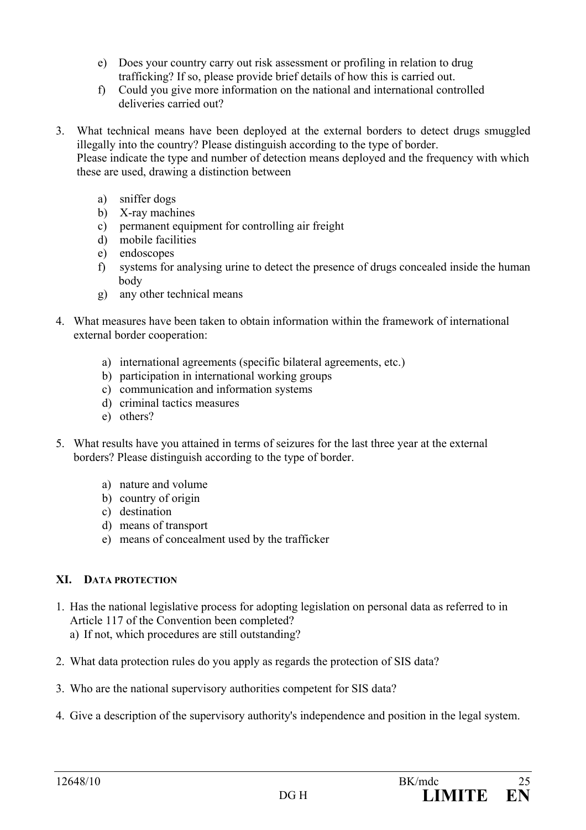- e) Does your country carry out risk assessment or profiling in relation to drug trafficking? If so, please provide brief details of how this is carried out.
- f) Could you give more information on the national and international controlled deliveries carried out?
- 3. What technical means have been deployed at the external borders to detect drugs smuggled illegally into the country? Please distinguish according to the type of border.

 Please indicate the type and number of detection means deployed and the frequency with which these are used, drawing a distinction between

- a) sniffer dogs
- b) X-ray machines
- c) permanent equipment for controlling air freight
- d) mobile facilities
- e) endoscopes
- f) systems for analysing urine to detect the presence of drugs concealed inside the human body
- g) any other technical means
- 4. What measures have been taken to obtain information within the framework of international external border cooperation:
	- a) international agreements (specific bilateral agreements, etc.)
	- b) participation in international working groups
	- c) communication and information systems
	- d) criminal tactics measures
	- e) others?
- 5. What results have you attained in terms of seizures for the last three year at the external borders? Please distinguish according to the type of border.
	- a) nature and volume
	- b) country of origin
	- c) destination
	- d) means of transport
	- e) means of concealment used by the trafficker

## **XI. DATA PROTECTION**

- 1. Has the national legislative process for adopting legislation on personal data as referred to in Article 117 of the Convention been completed? a) If not, which procedures are still outstanding?
- 2. What data protection rules do you apply as regards the protection of SIS data?
- 3. Who are the national supervisory authorities competent for SIS data?
- 4. Give a description of the supervisory authority's independence and position in the legal system.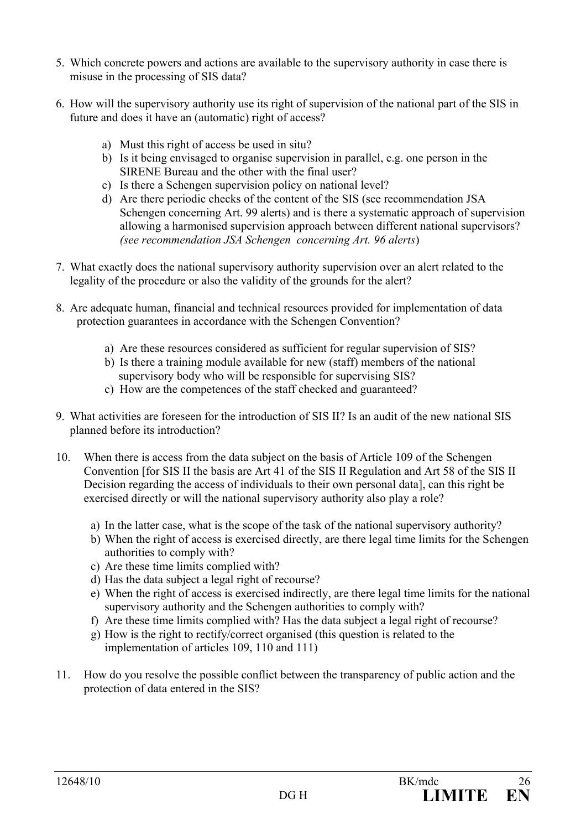- 5. Which concrete powers and actions are available to the supervisory authority in case there is misuse in the processing of SIS data?
- 6. How will the supervisory authority use its right of supervision of the national part of the SIS in future and does it have an (automatic) right of access?
	- a) Must this right of access be used in situ?
	- b) Is it being envisaged to organise supervision in parallel, e.g. one person in the SIRENE Bureau and the other with the final user?
	- c) Is there a Schengen supervision policy on national level?
	- d) Are there periodic checks of the content of the SIS (see recommendation JSA Schengen concerning Art. 99 alerts) and is there a systematic approach of supervision allowing a harmonised supervision approach between different national supervisors? *(see recommendation JSA Schengen concerning Art. 96 alerts*)
- 7. What exactly does the national supervisory authority supervision over an alert related to the legality of the procedure or also the validity of the grounds for the alert?
- 8. Are adequate human, financial and technical resources provided for implementation of data protection guarantees in accordance with the Schengen Convention?
	- a) Are these resources considered as sufficient for regular supervision of SIS?
	- b) Is there a training module available for new (staff) members of the national supervisory body who will be responsible for supervising SIS?
	- c) How are the competences of the staff checked and guaranteed?
- 9. What activities are foreseen for the introduction of SIS II? Is an audit of the new national SIS planned before its introduction?
- 10. When there is access from the data subject on the basis of Article 109 of the Schengen Convention [for SIS II the basis are Art 41 of the SIS II Regulation and Art 58 of the SIS II Decision regarding the access of individuals to their own personal data], can this right be exercised directly or will the national supervisory authority also play a role?
	- a) In the latter case, what is the scope of the task of the national supervisory authority?
	- b) When the right of access is exercised directly, are there legal time limits for the Schengen authorities to comply with?
	- c) Are these time limits complied with?
	- d) Has the data subject a legal right of recourse?
	- e) When the right of access is exercised indirectly, are there legal time limits for the national supervisory authority and the Schengen authorities to comply with?
	- f) Are these time limits complied with? Has the data subject a legal right of recourse?
	- g) How is the right to rectify/correct organised (this question is related to the implementation of articles 109, 110 and 111)
- 11. How do you resolve the possible conflict between the transparency of public action and the protection of data entered in the SIS?